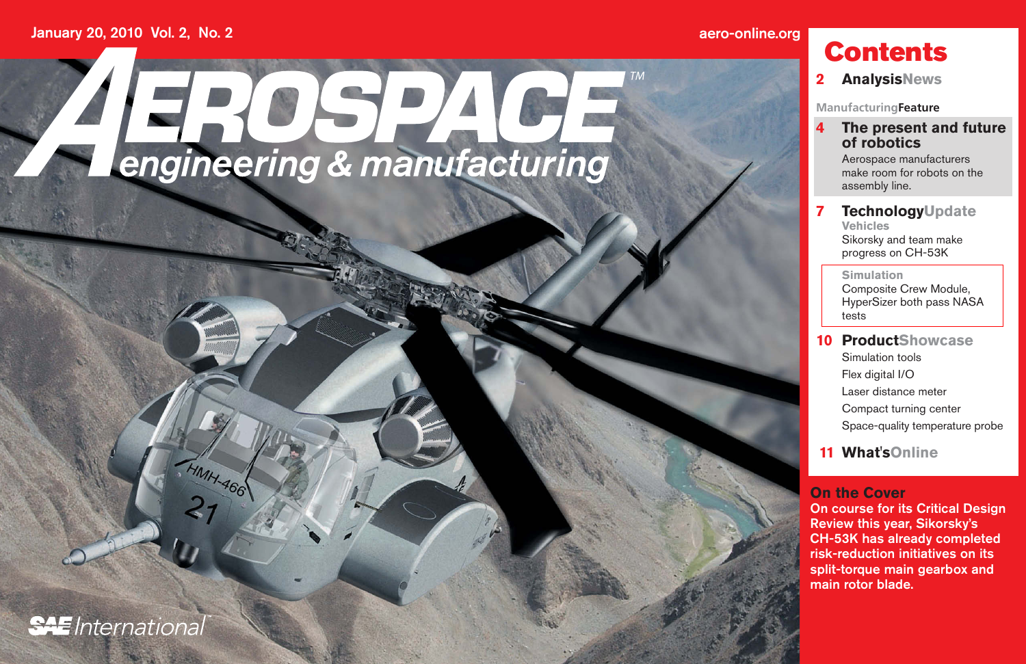## **aero-online.org Contents**



**MAH-466** 







# **2 AnalysisNews**

**ManufacturingFeature**

## **4 The present and future of robotics**

 Aerospace manufacturers make room for robots on the assembly line.

### **7 TechnologyUpdate Vehicles**

 Sikorsky and team make progress on CH-53K

#### **Simulation**

 Composite Crew Module, HyperSizer both pass NASA tests

## **10 ProductShowcase**

- Simulation tools
- Flex digital I/O
- Laser distance meter
- Compact turning center
- Space-quality temperature probe

# **11 What'sOnline**

### **On the Cover**

On course for its Critical Design Review this year, Sikorsky's CH-53K has already completed risk-reduction initiatives on its split-torque main gearbox and main rotor blade.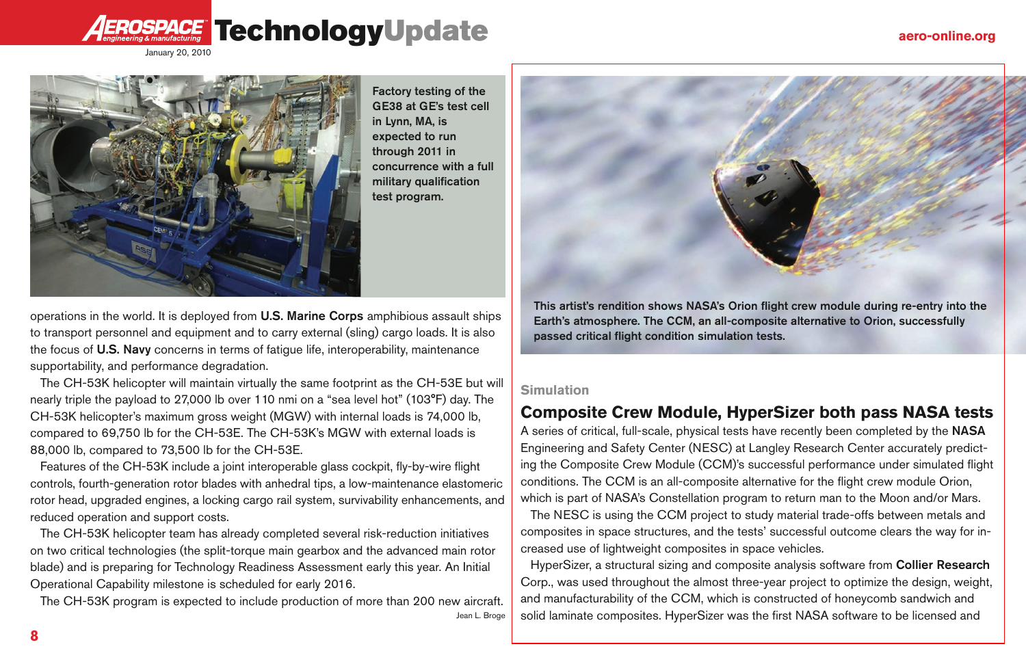

# ROSPACE TechnologyUpdate



operations in the world. It is deployed from U.S. Marine Corps amphibious assault ships to transport personnel and equipment and to carry external (sling) cargo loads. It is also the focus of U.S. Navy concerns in terms of fatigue life, interoperability, maintenance supportability, and performance degradation.

The CH-53K helicopter will maintain virtually the same footprint as the CH-53E but will nearly triple the payload to 27,000 lb over 110 nmi on a "sea level hot" (103°F) day. The CH-53K helicopter's maximum gross weight (MGW) with internal loads is 74,000 lb, compared to 69,750 lb for the CH-53E. The CH-53K's MGW with external loads is 88,000 lb, compared to 73,500 lb for the CH-53E.

Features of the CH-53K include a joint interoperable glass cockpit, fly-by-wire flight controls, fourth-generation rotor blades with anhedral tips, a low-maintenance elastomeric rotor head, upgraded engines, a locking cargo rail system, survivability enhancements, and reduced operation and support costs.

The CH-53K helicopter team has already completed several risk-reduction initiatives on two critical technologies (the split-torque main gearbox and the advanced main rotor blade) and is preparing for Technology Readiness Assessment early this year. An Initial Operational Capability milestone is scheduled for early 2016.

The CH-53K program is expected to include production of more than 200 new aircraft. Jean L. Broge



Factory testing of the GE38 at GE's test cell in Lynn, MA, is expected to run through 2011 in concurrence with a full military qualification test program.

### **Simulation**

# **Composite Crew Module, HyperSizer both pass NASA tests**

A series of critical, full-scale, physical tests have recently been completed by the NASA Engineering and Safety Center (NESC) at Langley Research Center accurately predicting the Composite Crew Module (CCM)'s successful performance under simulated flight conditions. The CCM is an all-composite alternative for the flight crew module Orion, which is part of NASA's Constellation program to return man to the Moon and/or Mars. The NESC is using the CCM project to study material trade-offs between metals and composites in space structures, and the tests' successful outcome clears the way for increased use of lightweight composites in space vehicles.

HyperSizer, a structural sizing and composite analysis software from Collier Research Corp., was used throughout the almost three-year project to optimize the design, weight, and manufacturability of the CCM, which is constructed of honeycomb sandwich and solid laminate composites. HyperSizer was the first NASA software to be licensed and

This artist's rendition shows NASA's Orion flight crew module during re-entry into the Earth's atmosphere. The CCM, an all-composite alternative to Orion, successfully passed critical flight condition simulation tests.